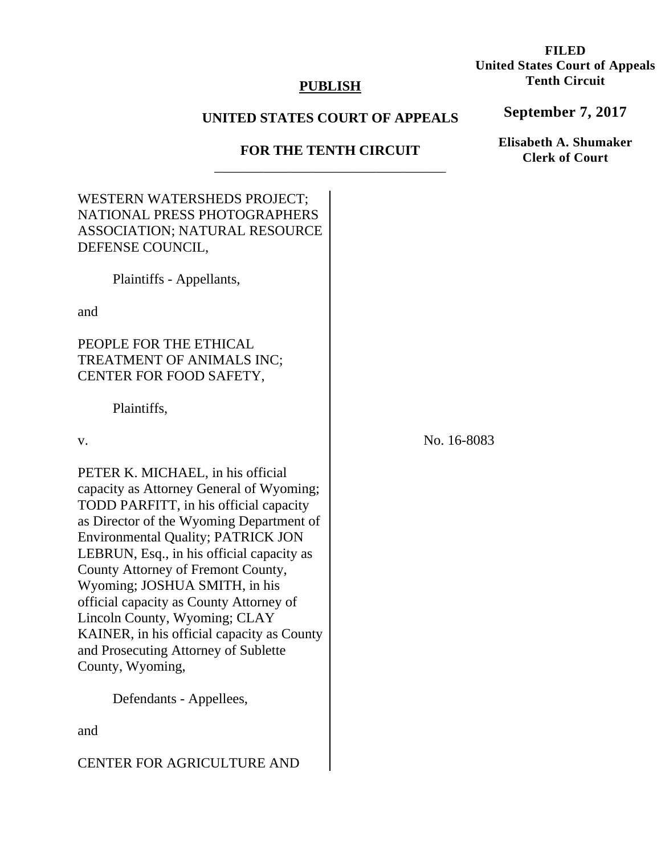## **PUBLISH**

# **UNITED STATES COURT OF APPEALS**

## **FOR THE TENTH CIRCUIT**  \_\_\_\_\_\_\_\_\_\_\_\_\_\_\_\_\_\_\_\_\_\_\_\_\_\_\_\_\_\_\_\_\_

| No. 16-8083 |
|-------------|
|             |
|             |
|             |
|             |
|             |

### **FILED United States Court of Appeals Tenth Circuit**

**September 7, 2017**

**Elisabeth A. Shumaker Clerk of Court**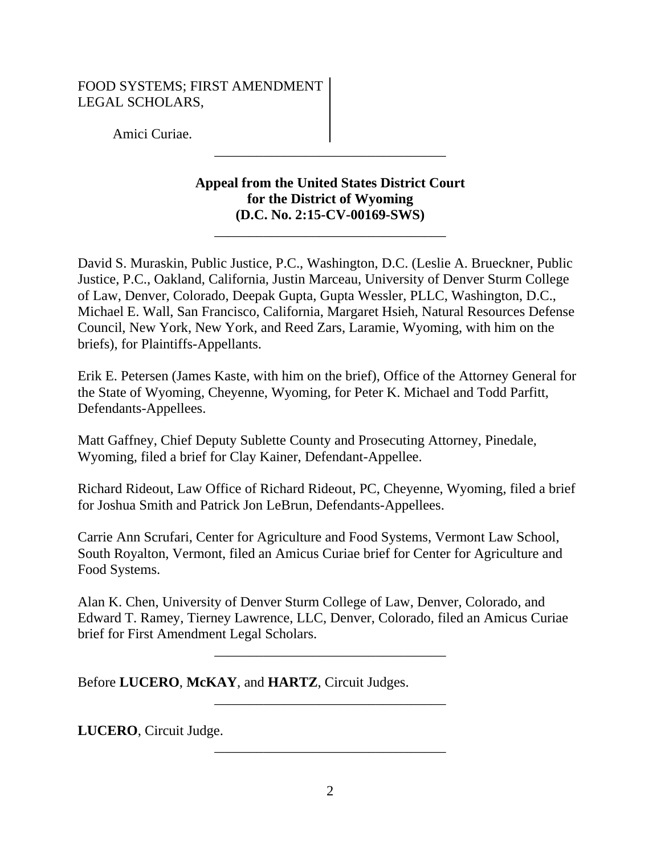### FOOD SYSTEMS; FIRST AMENDMENT LEGAL SCHOLARS,

Amici Curiae.

# **Appeal from the United States District Court for the District of Wyoming (D.C. No. 2:15-CV-00169-SWS)**

\_\_\_\_\_\_\_\_\_\_\_\_\_\_\_\_\_\_\_\_\_\_\_\_\_\_\_\_\_\_\_\_\_

\_\_\_\_\_\_\_\_\_\_\_\_\_\_\_\_\_\_\_\_\_\_\_\_\_\_\_\_\_\_\_\_\_

David S. Muraskin, Public Justice, P.C., Washington, D.C. (Leslie A. Brueckner, Public Justice, P.C., Oakland, California, Justin Marceau, University of Denver Sturm College of Law, Denver, Colorado, Deepak Gupta, Gupta Wessler, PLLC, Washington, D.C., Michael E. Wall, San Francisco, California, Margaret Hsieh, Natural Resources Defense Council, New York, New York, and Reed Zars, Laramie, Wyoming, with him on the briefs), for Plaintiffs-Appellants.

Erik E. Petersen (James Kaste, with him on the brief), Office of the Attorney General for the State of Wyoming, Cheyenne, Wyoming, for Peter K. Michael and Todd Parfitt, Defendants-Appellees.

Matt Gaffney, Chief Deputy Sublette County and Prosecuting Attorney, Pinedale, Wyoming, filed a brief for Clay Kainer, Defendant-Appellee.

Richard Rideout, Law Office of Richard Rideout, PC, Cheyenne, Wyoming, filed a brief for Joshua Smith and Patrick Jon LeBrun, Defendants-Appellees.

Carrie Ann Scrufari, Center for Agriculture and Food Systems, Vermont Law School, South Royalton, Vermont, filed an Amicus Curiae brief for Center for Agriculture and Food Systems.

Alan K. Chen, University of Denver Sturm College of Law, Denver, Colorado, and Edward T. Ramey, Tierney Lawrence, LLC, Denver, Colorado, filed an Amicus Curiae brief for First Amendment Legal Scholars.

\_\_\_\_\_\_\_\_\_\_\_\_\_\_\_\_\_\_\_\_\_\_\_\_\_\_\_\_\_\_\_\_\_

\_\_\_\_\_\_\_\_\_\_\_\_\_\_\_\_\_\_\_\_\_\_\_\_\_\_\_\_\_\_\_\_\_

\_\_\_\_\_\_\_\_\_\_\_\_\_\_\_\_\_\_\_\_\_\_\_\_\_\_\_\_\_\_\_\_\_

Before **LUCERO**, **McKAY**, and **HARTZ**, Circuit Judges.

**LUCERO**, Circuit Judge.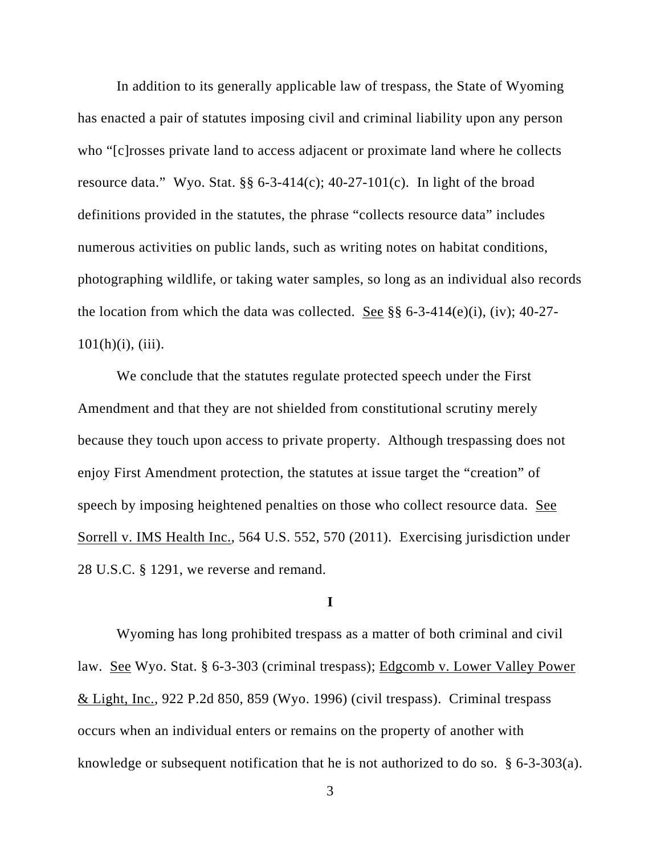In addition to its generally applicable law of trespass, the State of Wyoming has enacted a pair of statutes imposing civil and criminal liability upon any person who "[c]rosses private land to access adjacent or proximate land where he collects resource data." Wyo. Stat.  $\S$ § 6-3-414(c); 40-27-101(c). In light of the broad definitions provided in the statutes, the phrase "collects resource data" includes numerous activities on public lands, such as writing notes on habitat conditions, photographing wildlife, or taking water samples, so long as an individual also records the location from which the data was collected. See  $\S$ § 6-3-414(e)(i), (iv); 40-27- $101(h)(i)$ , (iii).

We conclude that the statutes regulate protected speech under the First Amendment and that they are not shielded from constitutional scrutiny merely because they touch upon access to private property. Although trespassing does not enjoy First Amendment protection, the statutes at issue target the "creation" of speech by imposing heightened penalties on those who collect resource data. See Sorrell v. IMS Health Inc., 564 U.S. 552, 570 (2011). Exercising jurisdiction under 28 U.S.C. § 1291, we reverse and remand.

#### **I**

Wyoming has long prohibited trespass as a matter of both criminal and civil law. See Wyo. Stat. § 6-3-303 (criminal trespass); Edgcomb v. Lower Valley Power & Light, Inc., 922 P.2d 850, 859 (Wyo. 1996) (civil trespass). Criminal trespass occurs when an individual enters or remains on the property of another with knowledge or subsequent notification that he is not authorized to do so. § 6-3-303(a).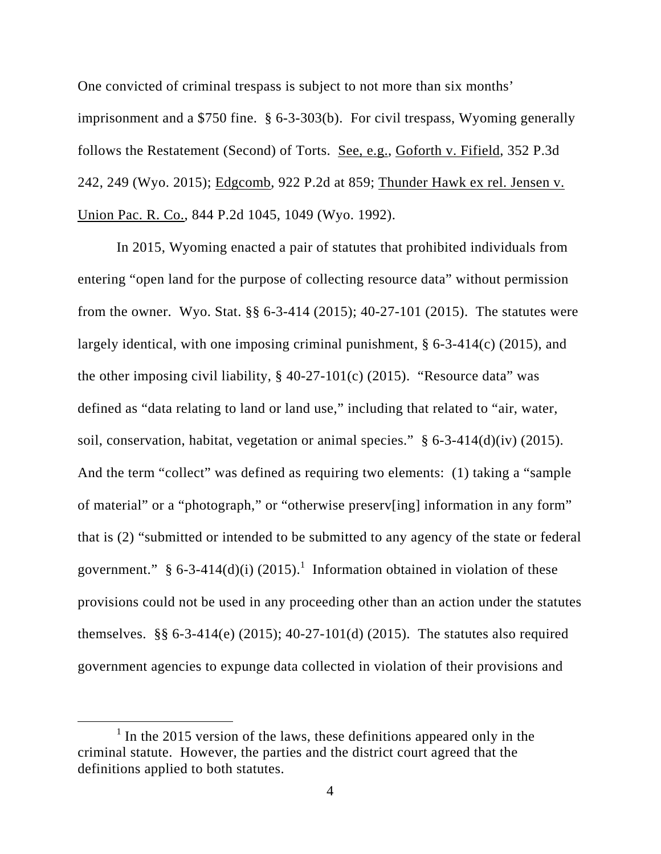One convicted of criminal trespass is subject to not more than six months' imprisonment and a \$750 fine. § 6-3-303(b). For civil trespass, Wyoming generally follows the Restatement (Second) of Torts. See, e.g., Goforth v. Fifield, 352 P.3d 242, 249 (Wyo. 2015); Edgcomb, 922 P.2d at 859; Thunder Hawk ex rel. Jensen v. Union Pac. R. Co., 844 P.2d 1045, 1049 (Wyo. 1992).

In 2015, Wyoming enacted a pair of statutes that prohibited individuals from entering "open land for the purpose of collecting resource data" without permission from the owner. Wyo. Stat. §§ 6-3-414 (2015); 40-27-101 (2015). The statutes were largely identical, with one imposing criminal punishment, § 6-3-414(c) (2015), and the other imposing civil liability,  $\S$  40-27-101(c) (2015). "Resource data" was defined as "data relating to land or land use," including that related to "air, water, soil, conservation, habitat, vegetation or animal species." § 6-3-414(d)(iv) (2015). And the term "collect" was defined as requiring two elements: (1) taking a "sample of material" or a "photograph," or "otherwise preserv[ing] information in any form" that is (2) "submitted or intended to be submitted to any agency of the state or federal government." § 6-3-414(d)(i) (2015).<sup>1</sup> Information obtained in violation of these provisions could not be used in any proceeding other than an action under the statutes themselves. §§ 6-3-414(e) (2015); 40-27-101(d) (2015). The statutes also required government agencies to expunge data collected in violation of their provisions and

<sup>&</sup>lt;u>1</u>  $<sup>1</sup>$  In the 2015 version of the laws, these definitions appeared only in the</sup> criminal statute. However, the parties and the district court agreed that the definitions applied to both statutes.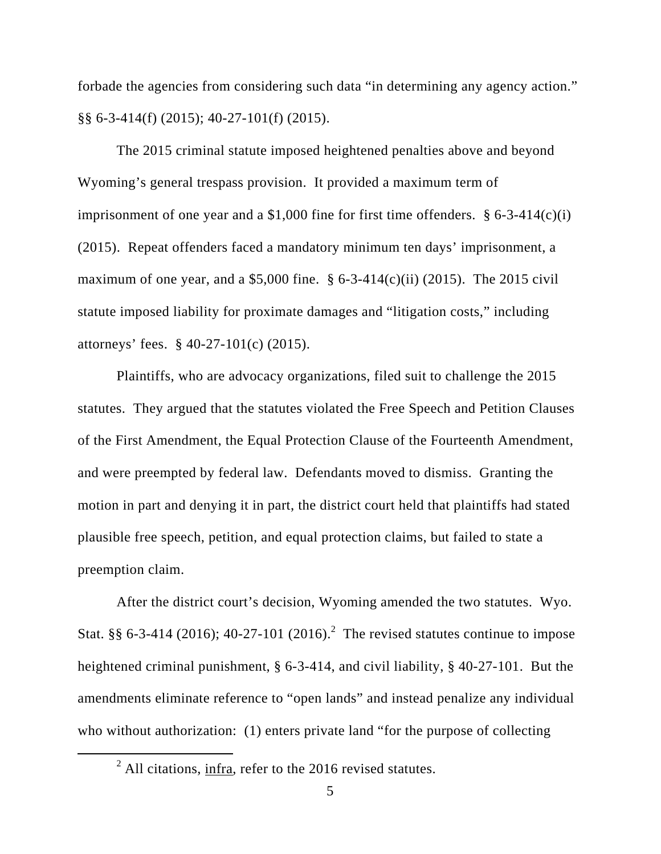forbade the agencies from considering such data "in determining any agency action." §§ 6-3-414(f) (2015); 40-27-101(f) (2015).

The 2015 criminal statute imposed heightened penalties above and beyond Wyoming's general trespass provision. It provided a maximum term of imprisonment of one year and a  $$1,000$  fine for first time offenders.  $§ 6-3-414(c)(i)$ (2015). Repeat offenders faced a mandatory minimum ten days' imprisonment, a maximum of one year, and a \$5,000 fine.  $§ 6-3-414(c)(ii) (2015)$ . The 2015 civil statute imposed liability for proximate damages and "litigation costs," including attorneys' fees. § 40-27-101(c) (2015).

Plaintiffs, who are advocacy organizations, filed suit to challenge the 2015 statutes. They argued that the statutes violated the Free Speech and Petition Clauses of the First Amendment, the Equal Protection Clause of the Fourteenth Amendment, and were preempted by federal law. Defendants moved to dismiss. Granting the motion in part and denying it in part, the district court held that plaintiffs had stated plausible free speech, petition, and equal protection claims, but failed to state a preemption claim.

After the district court's decision, Wyoming amended the two statutes. Wyo. Stat. §§ 6-3-414 (2016); 40-27-101 (2016).<sup>2</sup> The revised statutes continue to impose heightened criminal punishment, § 6-3-414, and civil liability, § 40-27-101. But the amendments eliminate reference to "open lands" and instead penalize any individual who without authorization: (1) enters private land "for the purpose of collecting

 <sup>2</sup>  $^{2}$  All citations, infra, refer to the 2016 revised statutes.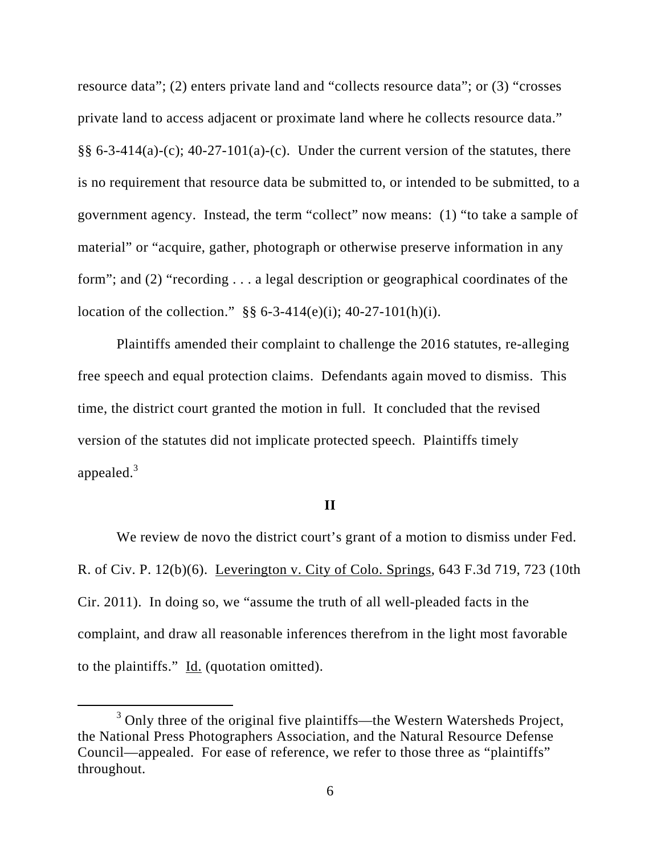resource data"; (2) enters private land and "collects resource data"; or (3) "crosses private land to access adjacent or proximate land where he collects resource data."  $\S$ § 6-3-414(a)-(c); 40-27-101(a)-(c). Under the current version of the statutes, there is no requirement that resource data be submitted to, or intended to be submitted, to a government agency. Instead, the term "collect" now means: (1) "to take a sample of material" or "acquire, gather, photograph or otherwise preserve information in any form"; and (2) "recording . . . a legal description or geographical coordinates of the location of the collection."  $\S$ § 6-3-414(e)(i); 40-27-101(h)(i).

Plaintiffs amended their complaint to challenge the 2016 statutes, re-alleging free speech and equal protection claims. Defendants again moved to dismiss. This time, the district court granted the motion in full. It concluded that the revised version of the statutes did not implicate protected speech. Plaintiffs timely appealed. $3$ 

#### **II**

We review de novo the district court's grant of a motion to dismiss under Fed. R. of Civ. P. 12(b)(6). Leverington v. City of Colo. Springs, 643 F.3d 719, 723 (10th Cir. 2011). In doing so, we "assume the truth of all well-pleaded facts in the complaint, and draw all reasonable inferences therefrom in the light most favorable to the plaintiffs." Id. (quotation omitted).

 $\frac{1}{3}$  $3$  Only three of the original five plaintiffs—the Western Watersheds Project, the National Press Photographers Association, and the Natural Resource Defense Council—appealed. For ease of reference, we refer to those three as "plaintiffs" throughout.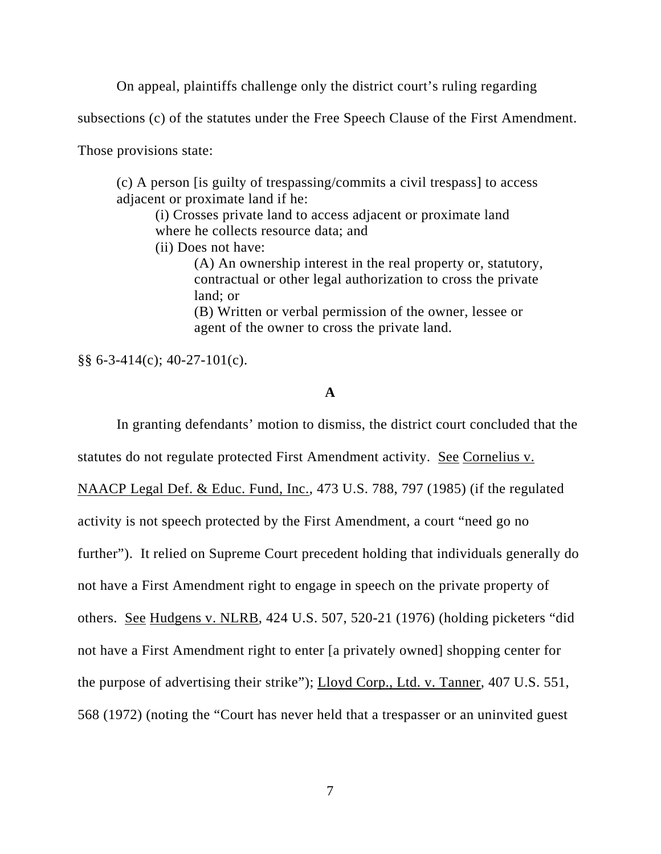On appeal, plaintiffs challenge only the district court's ruling regarding

subsections (c) of the statutes under the Free Speech Clause of the First Amendment.

Those provisions state:

(c) A person [is guilty of trespassing/commits a civil trespass] to access adjacent or proximate land if he:

(i) Crosses private land to access adjacent or proximate land where he collects resource data; and

(ii) Does not have:

(A) An ownership interest in the real property or, statutory, contractual or other legal authorization to cross the private land; or (B) Written or verbal permission of the owner, lessee or agent of the owner to cross the private land.

§§ 6-3-414(c); 40-27-101(c).

### **A**

In granting defendants' motion to dismiss, the district court concluded that the statutes do not regulate protected First Amendment activity. See Cornelius v. NAACP Legal Def. & Educ. Fund, Inc., 473 U.S. 788, 797 (1985) (if the regulated activity is not speech protected by the First Amendment, a court "need go no further"). It relied on Supreme Court precedent holding that individuals generally do not have a First Amendment right to engage in speech on the private property of others. See Hudgens v. NLRB, 424 U.S. 507, 520-21 (1976) (holding picketers "did not have a First Amendment right to enter [a privately owned] shopping center for the purpose of advertising their strike"); Lloyd Corp., Ltd. v. Tanner, 407 U.S. 551, 568 (1972) (noting the "Court has never held that a trespasser or an uninvited guest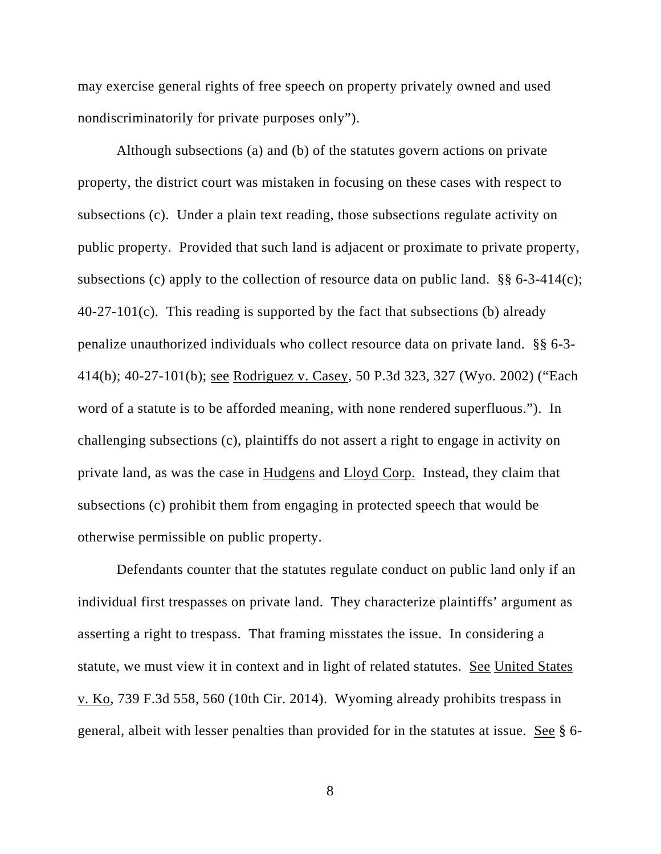may exercise general rights of free speech on property privately owned and used nondiscriminatorily for private purposes only").

Although subsections (a) and (b) of the statutes govern actions on private property, the district court was mistaken in focusing on these cases with respect to subsections (c). Under a plain text reading, those subsections regulate activity on public property. Provided that such land is adjacent or proximate to private property, subsections (c) apply to the collection of resource data on public land.  $\S$ § 6-3-414(c);  $40-27-101(c)$ . This reading is supported by the fact that subsections (b) already penalize unauthorized individuals who collect resource data on private land. §§ 6-3- 414(b); 40-27-101(b); see Rodriguez v. Casey, 50 P.3d 323, 327 (Wyo. 2002) ("Each word of a statute is to be afforded meaning, with none rendered superfluous."). In challenging subsections (c), plaintiffs do not assert a right to engage in activity on private land, as was the case in Hudgens and Lloyd Corp. Instead, they claim that subsections (c) prohibit them from engaging in protected speech that would be otherwise permissible on public property.

Defendants counter that the statutes regulate conduct on public land only if an individual first trespasses on private land. They characterize plaintiffs' argument as asserting a right to trespass. That framing misstates the issue. In considering a statute, we must view it in context and in light of related statutes. See United States v. Ko, 739 F.3d 558, 560 (10th Cir. 2014). Wyoming already prohibits trespass in general, albeit with lesser penalties than provided for in the statutes at issue. See § 6-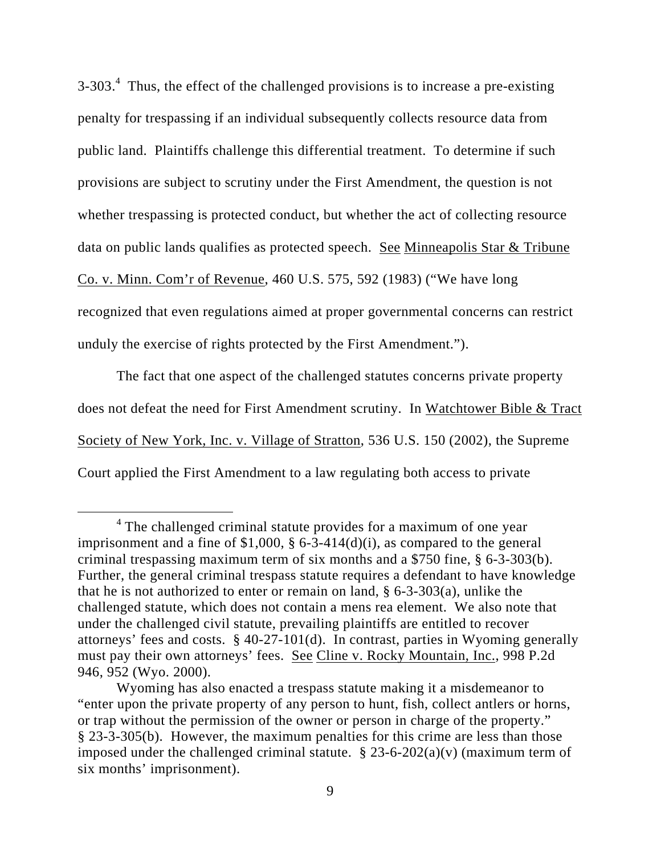$3-303<sup>4</sup>$  Thus, the effect of the challenged provisions is to increase a pre-existing penalty for trespassing if an individual subsequently collects resource data from public land. Plaintiffs challenge this differential treatment. To determine if such provisions are subject to scrutiny under the First Amendment, the question is not whether trespassing is protected conduct, but whether the act of collecting resource data on public lands qualifies as protected speech. See Minneapolis Star & Tribune Co. v. Minn. Com'r of Revenue, 460 U.S. 575, 592 (1983) ("We have long recognized that even regulations aimed at proper governmental concerns can restrict unduly the exercise of rights protected by the First Amendment.").

The fact that one aspect of the challenged statutes concerns private property does not defeat the need for First Amendment scrutiny. In Watchtower Bible & Tract Society of New York, Inc. v. Village of Stratton, 536 U.S. 150 (2002), the Supreme Court applied the First Amendment to a law regulating both access to private

 $\overline{4}$ <sup>4</sup> The challenged criminal statute provides for a maximum of one year imprisonment and a fine of \$1,000,  $\S 6$ -3-414(d)(i), as compared to the general criminal trespassing maximum term of six months and a \$750 fine, § 6-3-303(b). Further, the general criminal trespass statute requires a defendant to have knowledge that he is not authorized to enter or remain on land,  $\S$  6-3-303(a), unlike the challenged statute, which does not contain a mens rea element. We also note that under the challenged civil statute, prevailing plaintiffs are entitled to recover attorneys' fees and costs. § 40-27-101(d). In contrast, parties in Wyoming generally must pay their own attorneys' fees. See Cline v. Rocky Mountain, Inc., 998 P.2d 946, 952 (Wyo. 2000).

Wyoming has also enacted a trespass statute making it a misdemeanor to "enter upon the private property of any person to hunt, fish, collect antlers or horns, or trap without the permission of the owner or person in charge of the property." § 23-3-305(b). However, the maximum penalties for this crime are less than those imposed under the challenged criminal statute.  $\S 23-6-202(a)(v)$  (maximum term of six months' imprisonment).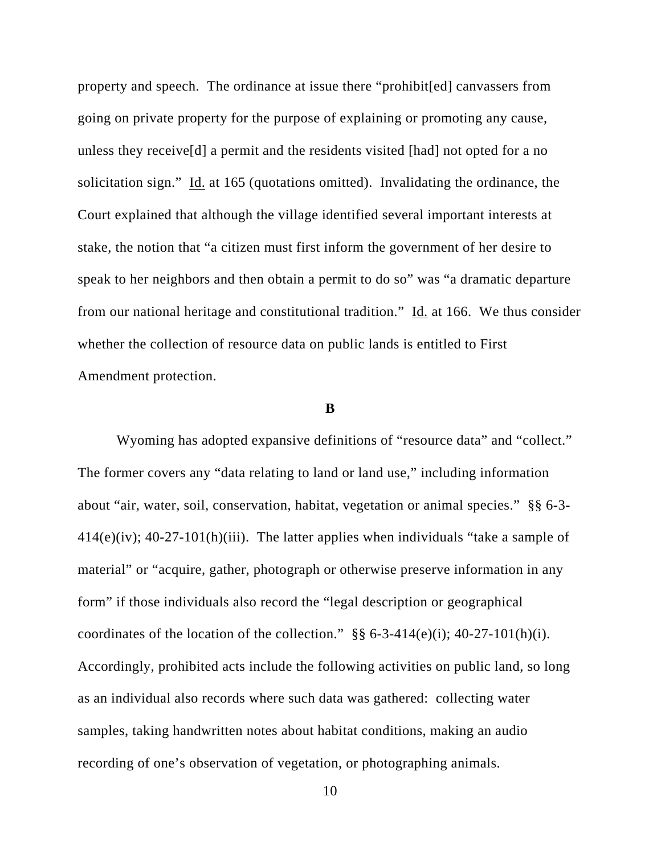property and speech. The ordinance at issue there "prohibit[ed] canvassers from going on private property for the purpose of explaining or promoting any cause, unless they receive[d] a permit and the residents visited [had] not opted for a no solicitation sign." Id. at 165 (quotations omitted). Invalidating the ordinance, the Court explained that although the village identified several important interests at stake, the notion that "a citizen must first inform the government of her desire to speak to her neighbors and then obtain a permit to do so" was "a dramatic departure from our national heritage and constitutional tradition." Id. at 166. We thus consider whether the collection of resource data on public lands is entitled to First Amendment protection.

#### **B**

Wyoming has adopted expansive definitions of "resource data" and "collect." The former covers any "data relating to land or land use," including information about "air, water, soil, conservation, habitat, vegetation or animal species." §§ 6-3- 414(e)(iv); 40-27-101(h)(iii). The latter applies when individuals "take a sample of material" or "acquire, gather, photograph or otherwise preserve information in any form" if those individuals also record the "legal description or geographical coordinates of the location of the collection."  $\S\S 6$ -3-414(e)(i); 40-27-101(h)(i). Accordingly, prohibited acts include the following activities on public land, so long as an individual also records where such data was gathered: collecting water samples, taking handwritten notes about habitat conditions, making an audio recording of one's observation of vegetation, or photographing animals.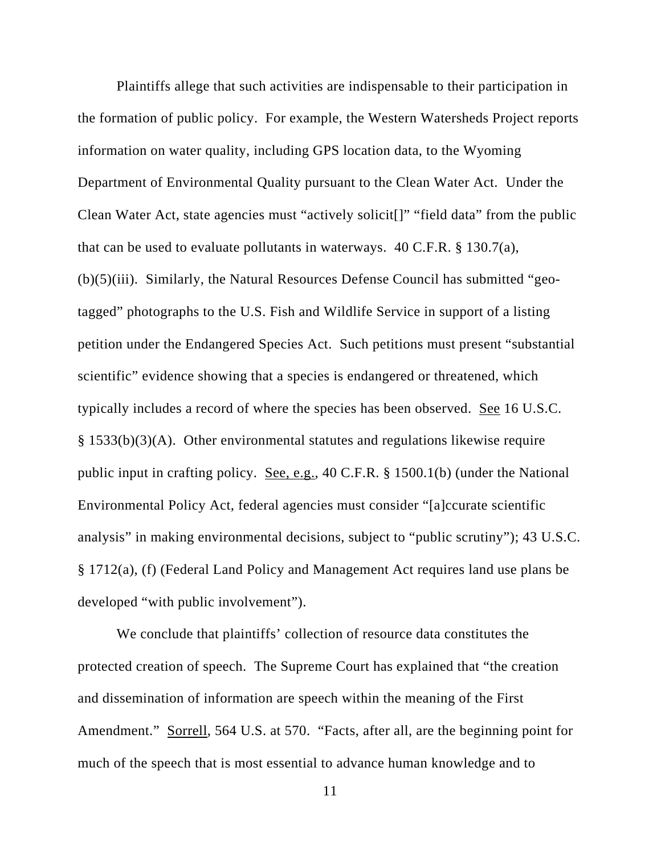Plaintiffs allege that such activities are indispensable to their participation in the formation of public policy. For example, the Western Watersheds Project reports information on water quality, including GPS location data, to the Wyoming Department of Environmental Quality pursuant to the Clean Water Act. Under the Clean Water Act, state agencies must "actively solicit[]" "field data" from the public that can be used to evaluate pollutants in waterways.  $40 \text{ C.F.R.}$  § 130.7(a), (b)(5)(iii). Similarly, the Natural Resources Defense Council has submitted "geotagged" photographs to the U.S. Fish and Wildlife Service in support of a listing petition under the Endangered Species Act. Such petitions must present "substantial scientific" evidence showing that a species is endangered or threatened, which typically includes a record of where the species has been observed. See 16 U.S.C. § 1533(b)(3)(A). Other environmental statutes and regulations likewise require public input in crafting policy. See, e.g., 40 C.F.R. § 1500.1(b) (under the National Environmental Policy Act, federal agencies must consider "[a]ccurate scientific analysis" in making environmental decisions, subject to "public scrutiny"); 43 U.S.C. § 1712(a), (f) (Federal Land Policy and Management Act requires land use plans be developed "with public involvement").

We conclude that plaintiffs' collection of resource data constitutes the protected creation of speech. The Supreme Court has explained that "the creation and dissemination of information are speech within the meaning of the First Amendment." Sorrell, 564 U.S. at 570. "Facts, after all, are the beginning point for much of the speech that is most essential to advance human knowledge and to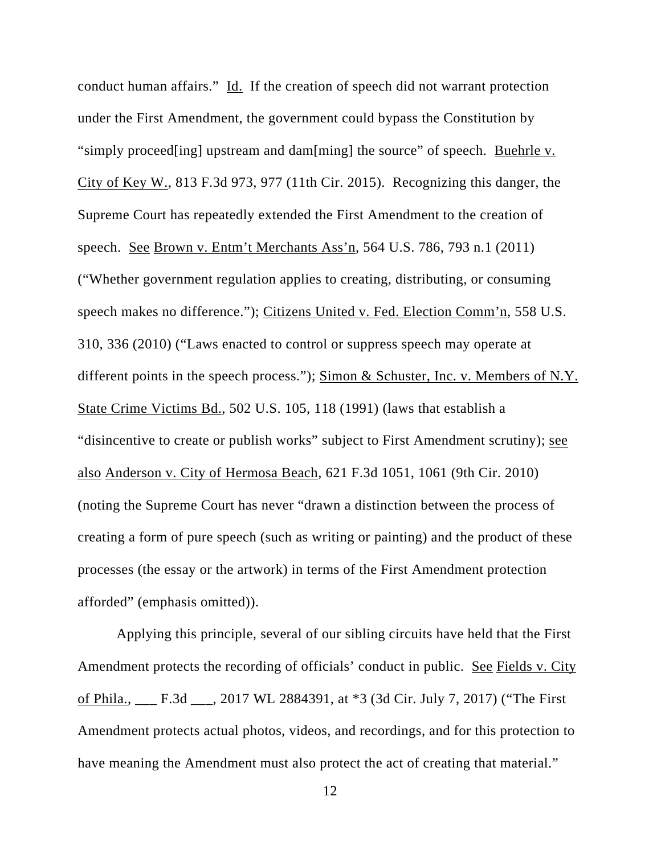conduct human affairs." Id. If the creation of speech did not warrant protection under the First Amendment, the government could bypass the Constitution by "simply proceed[ing] upstream and dam[ming] the source" of speech. Buehrle v. City of Key W., 813 F.3d 973, 977 (11th Cir. 2015). Recognizing this danger, the Supreme Court has repeatedly extended the First Amendment to the creation of speech. See Brown v. Entm't Merchants Ass'n, 564 U.S. 786, 793 n.1 (2011) ("Whether government regulation applies to creating, distributing, or consuming speech makes no difference."); Citizens United v. Fed. Election Comm'n, 558 U.S. 310, 336 (2010) ("Laws enacted to control or suppress speech may operate at different points in the speech process."); Simon & Schuster, Inc. v. Members of N.Y. State Crime Victims Bd., 502 U.S. 105, 118 (1991) (laws that establish a "disincentive to create or publish works" subject to First Amendment scrutiny); see also Anderson v. City of Hermosa Beach, 621 F.3d 1051, 1061 (9th Cir. 2010) (noting the Supreme Court has never "drawn a distinction between the process of creating a form of pure speech (such as writing or painting) and the product of these processes (the essay or the artwork) in terms of the First Amendment protection afforded" (emphasis omitted)).

Applying this principle, several of our sibling circuits have held that the First Amendment protects the recording of officials' conduct in public. See Fields v. City of Phila., \_\_\_ F.3d \_\_\_, 2017 WL 2884391, at \*3 (3d Cir. July 7, 2017) ("The First Amendment protects actual photos, videos, and recordings, and for this protection to have meaning the Amendment must also protect the act of creating that material."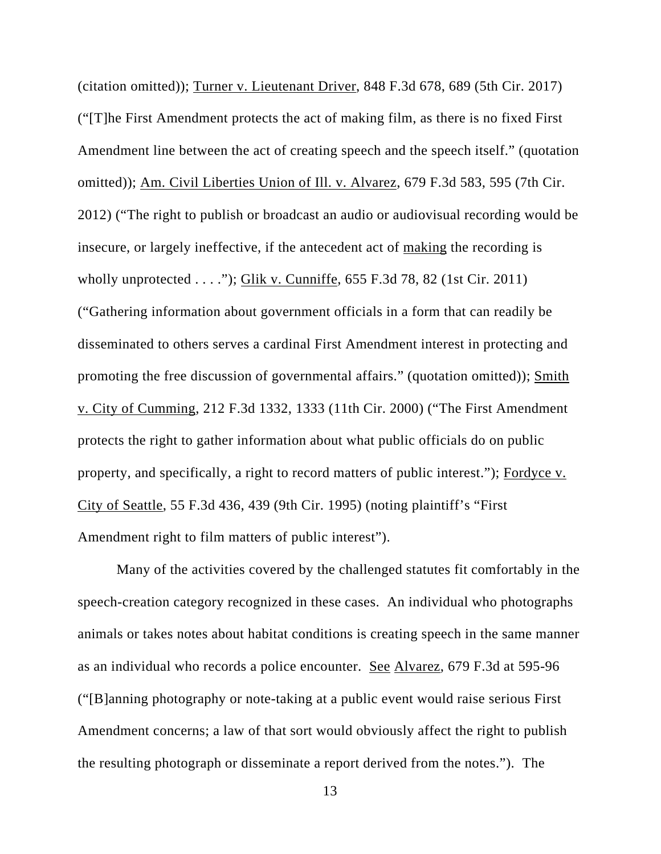(citation omitted)); Turner v. Lieutenant Driver, 848 F.3d 678, 689 (5th Cir. 2017) ("[T]he First Amendment protects the act of making film, as there is no fixed First Amendment line between the act of creating speech and the speech itself." (quotation omitted)); Am. Civil Liberties Union of Ill. v. Alvarez, 679 F.3d 583, 595 (7th Cir. 2012) ("The right to publish or broadcast an audio or audiovisual recording would be insecure, or largely ineffective, if the antecedent act of making the recording is wholly unprotected . . . ."); Glik v. Cunniffe, 655 F.3d 78, 82 (1st Cir. 2011) ("Gathering information about government officials in a form that can readily be disseminated to others serves a cardinal First Amendment interest in protecting and promoting the free discussion of governmental affairs." (quotation omitted)); Smith v. City of Cumming, 212 F.3d 1332, 1333 (11th Cir. 2000) ("The First Amendment protects the right to gather information about what public officials do on public property, and specifically, a right to record matters of public interest."); Fordyce v. City of Seattle, 55 F.3d 436, 439 (9th Cir. 1995) (noting plaintiff's "First Amendment right to film matters of public interest").

Many of the activities covered by the challenged statutes fit comfortably in the speech-creation category recognized in these cases. An individual who photographs animals or takes notes about habitat conditions is creating speech in the same manner as an individual who records a police encounter. See Alvarez, 679 F.3d at 595-96 ("[B]anning photography or note-taking at a public event would raise serious First Amendment concerns; a law of that sort would obviously affect the right to publish the resulting photograph or disseminate a report derived from the notes."). The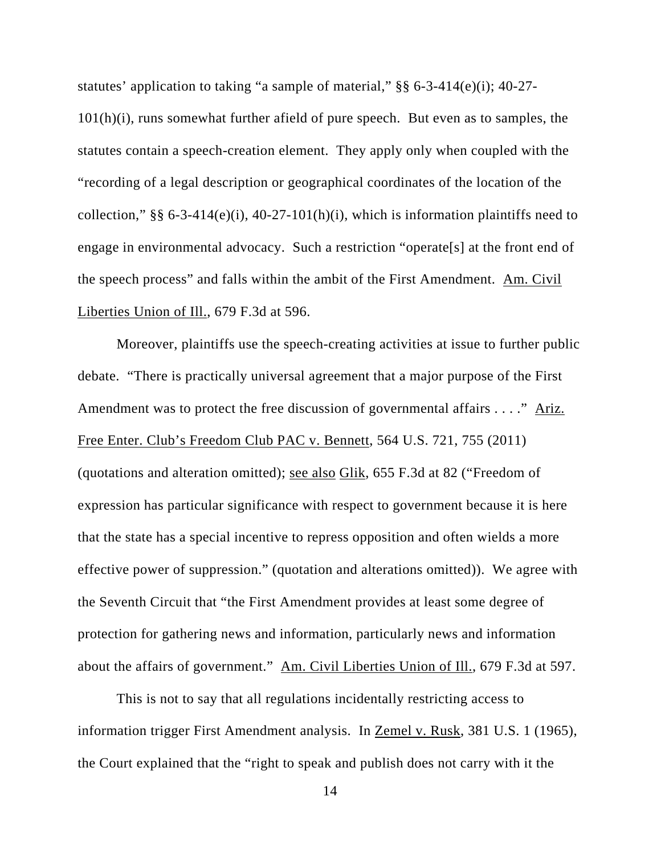statutes' application to taking "a sample of material," §§ 6-3-414(e)(i); 40-27- 101(h)(i), runs somewhat further afield of pure speech. But even as to samples, the statutes contain a speech-creation element. They apply only when coupled with the "recording of a legal description or geographical coordinates of the location of the collection,"  $\S$  6-3-414(e)(i), 40-27-101(h)(i), which is information plaintiffs need to engage in environmental advocacy. Such a restriction "operate[s] at the front end of the speech process" and falls within the ambit of the First Amendment. Am. Civil Liberties Union of Ill., 679 F.3d at 596.

 Moreover, plaintiffs use the speech-creating activities at issue to further public debate. "There is practically universal agreement that a major purpose of the First Amendment was to protect the free discussion of governmental affairs . . . ." Ariz. Free Enter. Club's Freedom Club PAC v. Bennett, 564 U.S. 721, 755 (2011) (quotations and alteration omitted); see also Glik, 655 F.3d at 82 ("Freedom of expression has particular significance with respect to government because it is here that the state has a special incentive to repress opposition and often wields a more effective power of suppression." (quotation and alterations omitted)). We agree with the Seventh Circuit that "the First Amendment provides at least some degree of protection for gathering news and information, particularly news and information about the affairs of government." Am. Civil Liberties Union of Ill., 679 F.3d at 597.

This is not to say that all regulations incidentally restricting access to information trigger First Amendment analysis. In Zemel v. Rusk, 381 U.S. 1 (1965), the Court explained that the "right to speak and publish does not carry with it the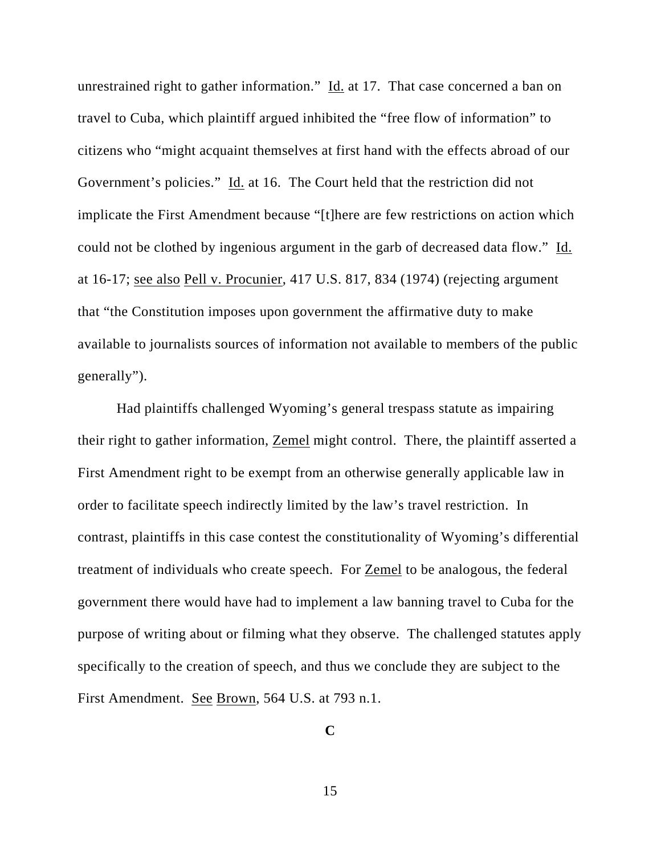unrestrained right to gather information." Id. at 17. That case concerned a ban on travel to Cuba, which plaintiff argued inhibited the "free flow of information" to citizens who "might acquaint themselves at first hand with the effects abroad of our Government's policies." Id. at 16. The Court held that the restriction did not implicate the First Amendment because "[t]here are few restrictions on action which could not be clothed by ingenious argument in the garb of decreased data flow." Id. at 16-17; see also Pell v. Procunier, 417 U.S. 817, 834 (1974) (rejecting argument that "the Constitution imposes upon government the affirmative duty to make available to journalists sources of information not available to members of the public generally").

 Had plaintiffs challenged Wyoming's general trespass statute as impairing their right to gather information, Zemel might control. There, the plaintiff asserted a First Amendment right to be exempt from an otherwise generally applicable law in order to facilitate speech indirectly limited by the law's travel restriction. In contrast, plaintiffs in this case contest the constitutionality of Wyoming's differential treatment of individuals who create speech. For Zemel to be analogous, the federal government there would have had to implement a law banning travel to Cuba for the purpose of writing about or filming what they observe. The challenged statutes apply specifically to the creation of speech, and thus we conclude they are subject to the First Amendment. See Brown, 564 U.S. at 793 n.1.

**C**